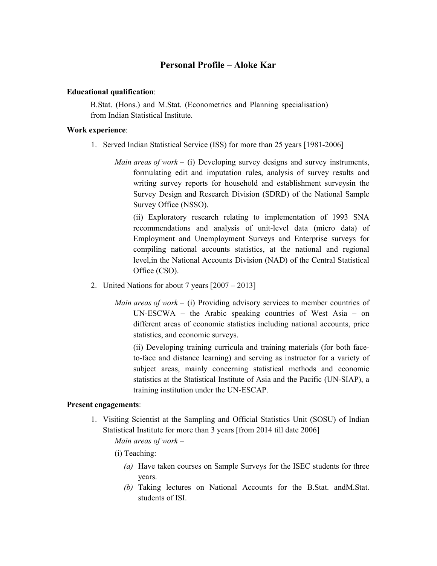## Personal Profile – Aloke Kar

## Educational qualification:

B.Stat. (Hons.) and M.Stat. (Econometrics and Planning specialisation) from Indian Statistical Institute.

## Work experience:

- 1. Served Indian Statistical Service (ISS) for more than 25 years [1981-2006]
	- *Main areas of work* (i) Developing survey designs and survey instruments, formulating edit and imputation rules, analysis of survey results and writing survey reports for household and establishment surveysin the Survey Design and Research Division (SDRD) of the National Sample Survey Office (NSSO).

(ii) Exploratory research relating to implementation of 1993 SNA recommendations and analysis of unit-level data (micro data) of Employment and Unemployment Surveys and Enterprise surveys for compiling national accounts statistics, at the national and regional level,in the National Accounts Division (NAD) of the Central Statistical Office (CSO).

- 2. United Nations for about 7 years [2007 2013]
	- *Main areas of work* (i) Providing advisory services to member countries of UN-ESCWA – the Arabic speaking countries of West Asia – on different areas of economic statistics including national accounts, price statistics, and economic surveys.

(ii) Developing training curricula and training materials (for both faceto-face and distance learning) and serving as instructor for a variety of subject areas, mainly concerning statistical methods and economic statistics at the Statistical Institute of Asia and the Pacific (UN-SIAP), a training institution under the UN-ESCAP.

## Present engagements:

- 1. Visiting Scientist at the Sampling and Official Statistics Unit (SOSU) of Indian Statistical Institute for more than 3 years [from 2014 till date 2006] Main areas of work –
	- (i) Teaching:
		- (a) Have taken courses on Sample Surveys for the ISEC students for three years.
		- (b) Taking lectures on National Accounts for the B.Stat. andM.Stat. students of ISI.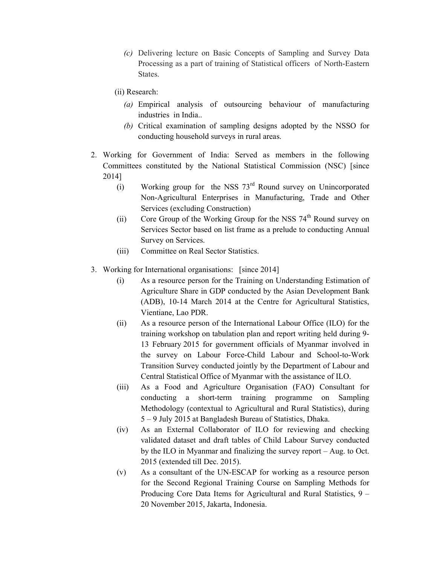- (c) Delivering lecture on Basic Concepts of Sampling and Survey Data Processing as a part of training of Statistical officers of North-Eastern States.
- (ii) Research:
	- (a) Empirical analysis of outsourcing behaviour of manufacturing industries in India..
	- (b) Critical examination of sampling designs adopted by the NSSO for conducting household surveys in rural areas.
- 2. Working for Government of India: Served as members in the following Committees constituted by the National Statistical Commission (NSC) [since 2014]
	- (i) Working group for the NSS  $73<sup>rd</sup>$  Round survey on Unincorporated Non-Agricultural Enterprises in Manufacturing, Trade and Other Services (excluding Construction)
	- (ii) Core Group of the Working Group for the NSS  $74<sup>th</sup>$  Round survey on Services Sector based on list frame as a prelude to conducting Annual Survey on Services.
	- (iii) Committee on Real Sector Statistics.
- 3. Working for International organisations: [since 2014]
	- (i) As a resource person for the Training on Understanding Estimation of Agriculture Share in GDP conducted by the Asian Development Bank (ADB), 10-14 March 2014 at the Centre for Agricultural Statistics, Vientiane, Lao PDR.
	- (ii) As a resource person of the International Labour Office (ILO) for the training workshop on tabulation plan and report writing held during 9- 13 February 2015 for government officials of Myanmar involved in the survey on Labour Force-Child Labour and School-to-Work Transition Survey conducted jointly by the Department of Labour and Central Statistical Office of Myanmar with the assistance of ILO.
	- (iii) As a Food and Agriculture Organisation (FAO) Consultant for conducting a short-term training programme on Sampling Methodology (contextual to Agricultural and Rural Statistics), during 5 – 9 July 2015 at Bangladesh Bureau of Statistics, Dhaka.
	- (iv) As an External Collaborator of ILO for reviewing and checking validated dataset and draft tables of Child Labour Survey conducted by the ILO in Myanmar and finalizing the survey report – Aug. to Oct. 2015 (extended till Dec. 2015).
	- (v) As a consultant of the UN-ESCAP for working as a resource person for the Second Regional Training Course on Sampling Methods for Producing Core Data Items for Agricultural and Rural Statistics, 9 – 20 November 2015, Jakarta, Indonesia.